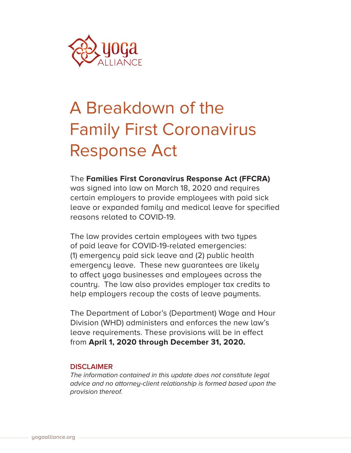

# A Breakdown of the Family First Coronavirus Response Act

The **Families First Coronavirus Response Act (FFCRA)** was signed into law on March 18, 2020 and requires certain employers to provide employees with paid sick leave or expanded family and medical leave for specified reasons related to COVID-19.

The law provides certain employees with two types of paid leave for COVID-19-related emergencies: (1) emergency paid sick leave and (2) public health emergency leave. These new guarantees are likely to affect yoga businesses and employees across the country. The law also provides employer tax credits to help employers recoup the costs of leave payments.

The Department of Labor's (Department) Wage and Hour Division (WHD) administers and enforces the new law's leave requirements. These provisions will be in effect from **April 1, 2020 through December 31, 2020.**

# **DISCLAIMER**

*The information contained in this update does not constitute legal advice and no attorney-client relationship is formed based upon the provision thereof.*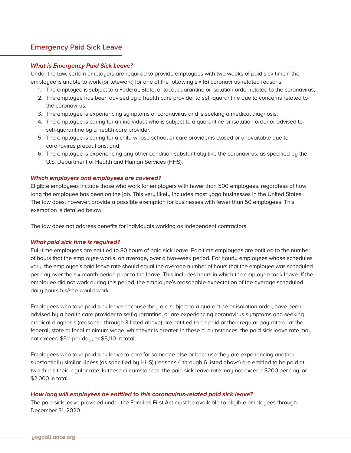# **Emergency Paid Sick Leave**

## **What is Emergency Paid Sick Leave?**

Under the law, certain employers are required to provide employees with two weeks of paid sick time if the employee is unable to work (or telework) for one of the following six (6) coronavirus-related reasons:

- 1. The employee is subject to a Federal, State, or local quarantine or isolation order related to the coronavirus;
- 2. The employee has been advised by a health care provider to self-quarantine due to concerns related to the coronavirus;
- 3. The employee is experiencing symptoms of coronavirus and is seeking a medical diagnosis;
- 4. The employee is caring for an individual who is subject to a quarantine or isolation order or advised to self-quarantine by a health care provider;
- 5. The employee is caring for a child whose school or care provider is closed or unavailable due to coronavirus precautions; and
- 6. The employee is experiencing any other condition substantially like the coronavirus, as specified by the U.S. Department of Health and Human Services (HHS).

# **Which employers and employees are covered?**

Eligible employees include those who work for employers with fewer than 500 employees, regardless of how long the employee has been on the job. This very likely includes most yoga businesses in the United States. The law does, however, provide a possible exemption for businesses with fewer than 50 employees. This exemption is detailed below.

The law does not address benefits for individuals working as independent contractors.

## **What paid sick time is required?**

Full-time employees are entitled to 80 hours of paid sick leave. Part-time employees are entitled to the number of hours that the employee works, on average, over a two-week period. For hourly employees whose schedules vary, the employee's paid leave rate should equal the average number of hours that the employee was scheduled per day over the six-month period prior to the leave. This includes hours in which the employee took leave. If the employee did not work during this period, the employee's reasonable expectation of the average scheduled daily hours his/she would work.

Employees who take paid sick leave because they are subject to a quarantine or isolation order, have been advised by a health care provider to self-quarantine, or are experiencing coronavirus symptoms and seeking medical diagnosis (reasons 1 through 3 listed above) are entitled to be paid at their regular pay rate or at the federal, state or local minimum wage, whichever is greater. In these circumstances, the paid sick leave rate may not exceed \$511 per day, or \$5,110 in total.

Employees who take paid sick leave to care for someone else or because they are experiencing another substantially similar illness (as specified by HHS) (reasons 4 through 6 listed above) are entitled to be paid at two-thirds their regular rate. In these circumstances, the paid sick leave rate may not exceed \$200 per day, or \$2,000 in total.

## **How long will employees be entitled to this coronavirus-related paid sick leave?**

The paid sick leave provided under the Families First Act must be available to eligible employees through December 31, 2020.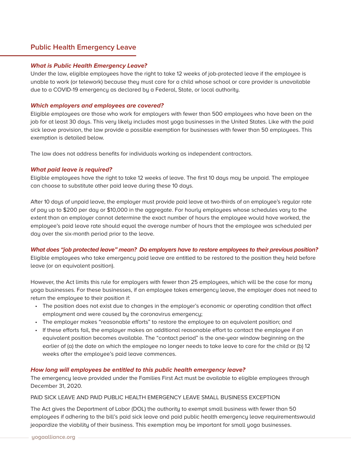# **Public Health Emergency Leave**

## **What is Public Health Emergency Leave?**

Under the law, eligible employees have the right to take 12 weeks of job-protected leave if the employee is unable to work (or telework) because they must care for a child whose school or care provider is unavailable due to a COVID-19 emergency as declared by a Federal, State, or local authority.

# **Which employers and employees are covered?**

Eligible employees are those who work for employers with fewer than 500 employees who have been on the job for at least 30 days. This very likely includes most yoga businesses in the United States. Like with the paid sick leave provision, the law provide a possible exemption for businesses with fewer than 50 employees. This exemption is detailed below.

The law does not address benefits for individuals working as independent contractors.

# **What paid leave is required?**

Eligible employees have the right to take 12 weeks of leave. The first 10 days may be unpaid. The employee can choose to substitute other paid leave during these 10 days.

After 10 days of unpaid leave, the employer must provide paid leave at two-thirds of an employee's regular rate of pay up to \$200 per day or \$10,000 in the aggregate. For hourly employees whose schedules vary to the extent than an employer cannot determine the exact number of hours the employee would have worked, the employee's paid leave rate should equal the average number of hours that the employee was scheduled per day over the six-month period prior to the leave.

# **What does "job protected leave" mean? Do employers have to restore employees to their previous position?**

Eligible employees who take emergency paid leave are entitled to be restored to the position they held before leave (or an equivalent position).

However, the Act limits this rule for employers with fewer than 25 employees, which will be the case for many yoga businesses. For these businesses, if an employee takes emergency leave, the employer does not need to return the employee to their position if:

- The position does not exist due to changes in the employer's economic or operating condition that affect employment and were caused by the coronavirus emergency;
- The employer makes "reasonable efforts" to restore the employee to an equivalent position; and
- If these efforts fail, the employer makes an additional reasonable effort to contact the employee if an equivalent position becomes available. The "contact period" is the one-year window beginning on the earlier of (a) the date on which the employee no longer needs to take leave to care for the child or (b) 12 weeks after the employee's paid leave commences.

# **How long will employees be entitled to this public health emergency leave?**

The emergency leave provided under the Families First Act must be available to eligible employees through December 31, 2020.

# PAID SICK LEAVE AND PAID PUBLIC HEALTH EMERGENCY LEAVE SMALL BUSINESS EXCEPTION

The Act gives the Department of Labor (DOL) the authority to exempt small business with fewer than 50 employees if adhering to the bill's paid sick leave and paid public health emergency leave requirementswould jeopardize the viability of their business. This exemption may be important for small yoga businesses.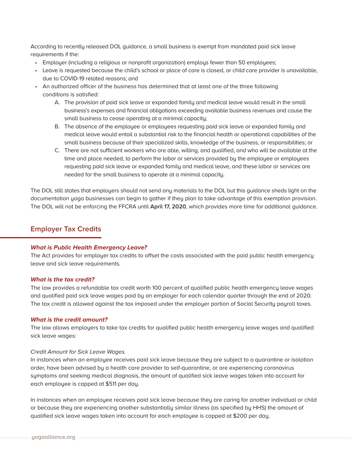According to recently released DOL guidance, a small business is exempt from mandated paid sick leave requirements if the:

- Employer (including a religious or nonprofit organization) employs fewer than 50 employees;
- Leave is requested because the child's school or place of care is closed, or child care provider is unavailable, due to COVID-19 related reasons; and
- An authorized officer of the business has determined that at least one of the three following conditions is satisfied:
	- A. The provision of paid sick leave or expanded family and medical leave would result in the small business's expenses and financial obligations exceeding available business revenues and cause the small business to cease operating at a minimal capacity;
	- B. The absence of the employee or employees requesting paid sick leave or expanded family and medical leave would entail a substantial risk to the financial health or operational capabilities of the small business because of their specialized skills, knowledge of the business, or responsibilities; or
	- C. There are not sufficient workers who are able, willing, and qualified, and who will be available at the time and place needed, to perform the labor or services provided by the employee or employees requesting paid sick leave or expanded family and medical leave, and these labor or services are needed for the small business to operate at a minimal capacity.

The DOL still states that employers should not send any materials to the DOL but this guidance sheds light on the documentation yoga businesses can begin to gather if they plan to take advantage of this exemption provision. The DOL will not be enforcing the FFCRA until **April 17, 2020**, which provides more time for additional guidance.

# **Employer Tax Credits**

## **What is Public Health Emergency Leave?**

The Act provides for employer tax credits to offset the costs associated with the paid public health emergency leave and sick leave requirements.

## **What is the tax credit?**

The law provides a refundable tax credit worth 100 percent of qualified public health emergency leave wages and qualified paid sick leave wages paid by an employer for each calendar quarter through the end of 2020. The tax credit is allowed against the tax imposed under the employer portion of Social Security payroll taxes.

## **What is the credit amount?**

The law allows employers to take tax credits for qualified public health emergency leave wages and qualified sick leave wages:

#### *Credit Amount for Sick Leave Wages.*

In instances when an employee receives paid sick leave because they are subject to a quarantine or isolation order, have been advised by a health care provider to self-quarantine, or are experiencing coronavirus symptoms and seeking medical diagnosis, the amount of qualified sick leave wages taken into account for each employee is capped at \$511 per day.

In instances when an employee receives paid sick leave because they are caring for another individual or child or because they are experiencing another substantially similar illness (as specified by HHS) the amount of qualified sick leave wages taken into account for each employee is capped at \$200 per day.